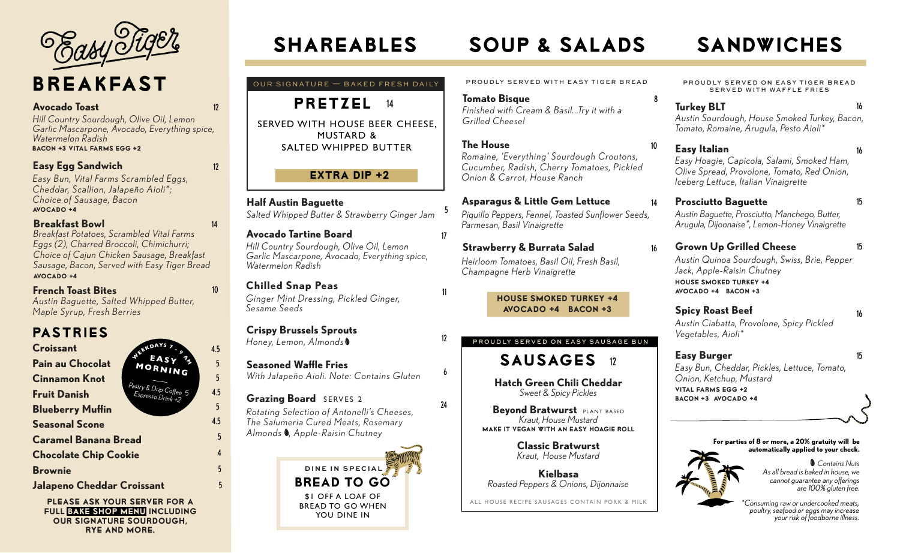# BREAKFAST

### **Avocado Toast** 12

*Hill Country Sourdough, Olive Oil, Lemon Garlic Mascarpone, Avocado, Everything spice, Watermelon Radish* Bacon +3 Vital Farms Egg +2

## **Easy Egg Sandwich**

12

14

 5 4.5

10

4.5 5

5

5

4.5 5

4

5 5

*Easy Bun, Vital Farms Scrambled Eggs, Cheddar, Scallion, Jalapeño Aioli\*; Choice of Sausage, Bacon* Avocado +4

### **Breakfast Bowl**

*Breakfast Potatoes, Scrambled Vital Farms Eggs (2), Charred Broccoli, Chimichurri; Choice of Cajun Chicken Sausage, Breakfast Sausage, Bacon, Served with Easy Tiger Bread* Avocado +4

### **French Toast Bites**

*Austin Baguette, Salted Whipped Butter, Maple Syrup, Fresh Berries*

# PASTRIES

**Croissant**

*Pastry & Drip Coffee Espresso Drink +2* **<sup>W</sup><sup>E</sup>EKDAY<sup>S</sup> <sup>7</sup> - <sup>9</sup> <sup>A</sup> EASY Caramel Banana Bread Fruit Danish Cinnamon Knot Chocolate Chip Cookie Seasonal Scone Blueberry Muffin Brownie Jalapeno Cheddar Croissant** 

Please ask your server for a full Bake Shop menu including our signature Sourdough, Rye and more.

# SHAREABLES SOUP & SALADS SANDWICHES

OUR SIGNATURE — BAKED FRESH DAILY



SERVED WITH HOUSE BEER CHEESE, MUSTARD & SALTED WHIPPED BUTTER

# $EXTRA$  DIP  $+2$

**Half Austin Baguette**  *Salted Whipped Butter & Strawberry Ginger Jam*

### **Avocado Tartine Board**

*Hill Country Sourdough, Olive Oil, Lemon Garlic Mascarpone, Avocado, Everything spice, Watermelon Radish*

# **Chilled Snap Peas**

*Ginger Mint Dressing, Pickled Ginger, Sesame Seeds*

# **Crispy Brussels Sprouts**

*Honey, Lemon, Almonds*

# **Seasoned Waffle Fries**

*With Jalapeño Aioli. Note: Contains Gluten*

# **Grazing Board** SERVES 2

*Rotating Selection of Antonelli's Cheeses, The Salumeria Cured Meats, Rosemary Almonds , Apple-Raisin Chutney*



PROUDLY SERVED WITH EASY TIGER BREAD

#### **Tomato Bisque** 8

5

6

24

12

11

*Finished with Cream & Basil...Try it with a Grilled Cheese!*

**The House** *Romaine, 'Everything' Sourdough Croutons, Cucumber, Radish, Cherry Tomatoes, Pickled* 

# *Onion & Carrot, House Ranch*

**Asparagus & Little Gem Lettuce**  *Piquillo Peppers, Fennel, Toasted Sunflower Seeds, Parmesan, Basil Vinaigrette* 14

**Strawberry & Burrata Salad** 16 *Heirloom Tomatoes, Basil Oil, Fresh Basil, Champagne Herb Vinaigrette*

#### House Smoked Turkey +4 Avocado +4 Bacon +3

# SAUSAGES 12 PROUDLY SERVED ON EASY SAUSAGE BUN

**Hatch Green Chili Cheddar**  *Sweet & Spicy Pickles*

**Bevond Bratwurst PLANT BASED** *Kraut, House Mustard* Make It Vegan with an Easy Hoagie Roll

> **Classic Bratwurst**  *Kraut, House Mustard*

**Kielbasa**  *Roasted Peppers & Onions, Dijonnaise*

ALL HOUSE RECIPE SAUSAGES CONTAIN PORK & MILK

PROUDLY SERVED ON EASY TIGER BREAD SERVED WITH WAFFLE FRIES

**Turkey BLT** 16 *Austin Sourdough, House Smoked Turkey, Bacon, Tomato, Romaine, Arugula, Pesto Aioli\** 

### **Easy Italian** 16 *Easy Hoagie, Capicola, Salami, Smoked Ham, Olive Spread, Provolone, Tomato, Red Onion, Iceberg Lettuce, Italian Vinaigrette*

- **Prosciutto Baguette** 15 *Austin Baguette, Prosciutto, Manchego, Butter, Arugula, Dijonnaise\*, Lemon-Honey Vinaigrette*
- **Grown Up Grilled Cheese** 15 *Austin Quinoa Sourdough, Swiss, Brie, Pepper Jack, Apple-Raisin Chutney* house smoked turkey +4 avocado +4 bacon +3

# **Spicy Roast Beef** 16

*Austin Ciabatta, Provolone, Spicy Pickled Vegetables, Aioli\** 

# **Easy Burger** 15

10

*Easy Bun, Cheddar, Pickles, Lettuce, Tomato, Onion, Ketchup, Mustard* vital farms egg +2 bacon +3 avocado +4

#### **For parties of 8 or more, a 20% gratuity will be automatically applied to your check.**



*As all bread is baked in house, we cannot guarantee any offerings are 100% gluten free. Contains Nuts*

*\*Consuming raw or undercooked meats, poultry, seafood or eggs may increase your risk of foodborne illness.*